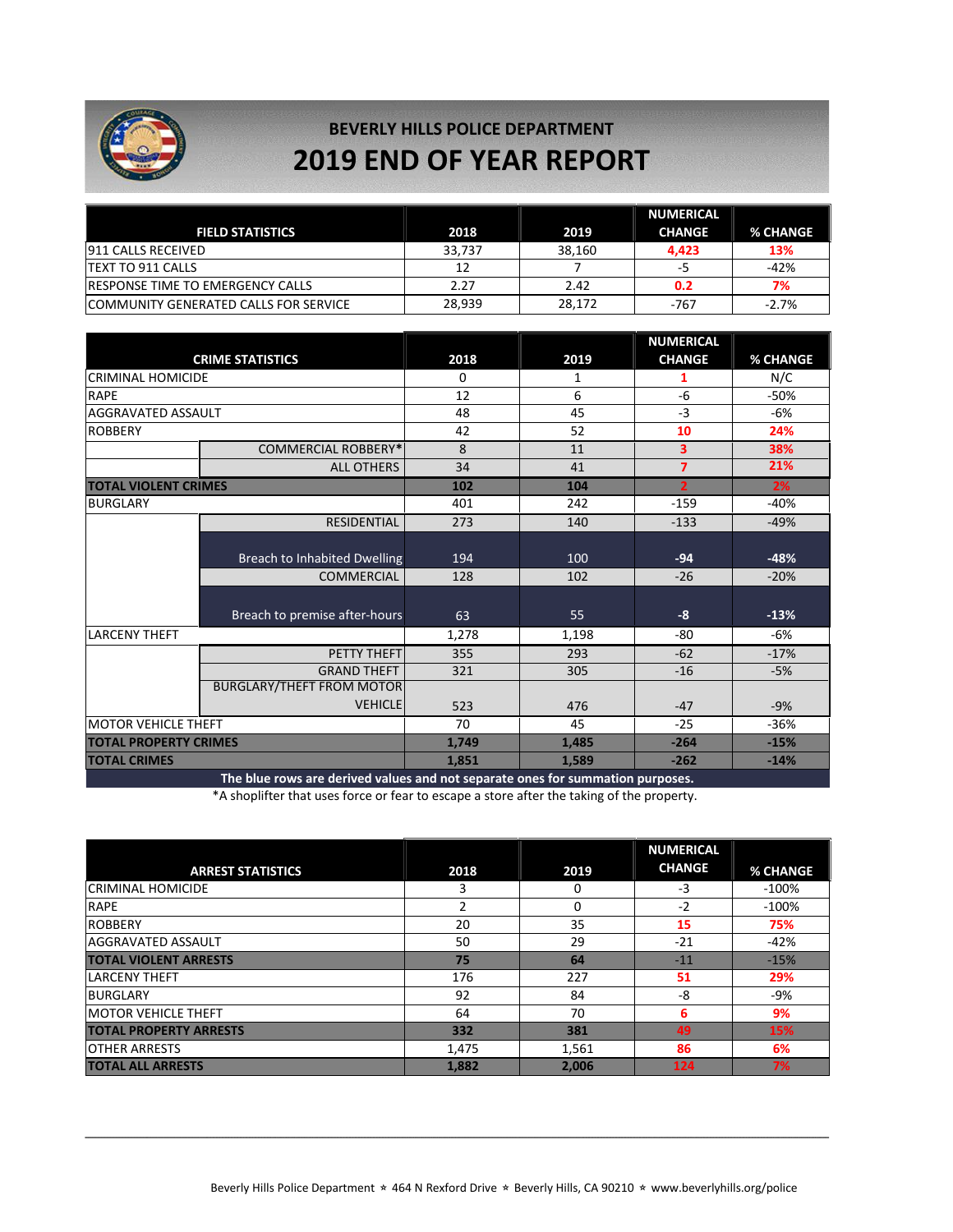

## **BEVERLY HILLS POLICE DEPARTMENT 2019 END OF YEAR REPORT**

|                                          |        |        | <b>NUMERICAL</b> |          |
|------------------------------------------|--------|--------|------------------|----------|
| <b>FIELD STATISTICS</b>                  | 2018   | 2019   | <b>CHANGE</b>    | % CHANGE |
| <b>911 CALLS RECEIVED</b>                | 33.737 | 38.160 | 4.423            | 13%      |
| <b>ITEXT TO 911 CALLS</b>                | 12     |        | -5               | $-42%$   |
| <b>IRESPONSE TIME TO EMERGENCY CALLS</b> | 2.27   | 2.42   | 0.2              | 7%       |
| ICOMMUNITY GENERATED CALLS FOR SERVICE   | 28.939 | 28.172 | $-767$           | $-2.7%$  |

|                                                                                |       |       | <b>NUMERICAL</b> |          |
|--------------------------------------------------------------------------------|-------|-------|------------------|----------|
| <b>CRIME STATISTICS</b>                                                        | 2018  | 2019  | <b>CHANGE</b>    | % CHANGE |
| <b>CRIMINAL HOMICIDE</b>                                                       | 0     | 1     |                  | N/C      |
| <b>RAPE</b>                                                                    | 12    | 6     | -6               | $-50%$   |
| <b>AGGRAVATED ASSAULT</b>                                                      | 48    | 45    | $-3$             | -6%      |
| <b>ROBBERY</b>                                                                 | 42    | 52    | 10               | 24%      |
| <b>COMMERCIAL ROBBERY*</b>                                                     | 8     | 11    | 3                | 38%      |
| <b>ALL OTHERS</b>                                                              | 34    | 41    | $\overline{7}$   | 21%      |
| <b>TOTAL VIOLENT CRIMES</b>                                                    | 102   | 104   | $\overline{2}$   | 2%       |
| <b>BURGLARY</b>                                                                | 401   | 242   | $-159$           | $-40%$   |
| <b>RESIDENTIAL</b>                                                             | 273   | 140   | $-133$           | $-49%$   |
|                                                                                |       |       |                  |          |
| <b>Breach to Inhabited Dwelling</b>                                            | 194   | 100   | $-94$            | $-48%$   |
| <b>COMMERCIAL</b>                                                              | 128   | 102   | $-26$            | $-20%$   |
|                                                                                |       |       |                  |          |
| Breach to premise after-hours                                                  | 63    | 55    | $-8$             | $-13%$   |
| <b>LARCENY THEFT</b>                                                           | 1,278 | 1,198 | $-80$            | $-6%$    |
| PETTY THEFT                                                                    | 355   | 293   | $-62$            | $-17%$   |
| <b>GRAND THEFT</b>                                                             | 321   | 305   | $-16$            | $-5%$    |
| <b>BURGLARY/THEFT FROM MOTOR</b>                                               |       |       |                  |          |
| <b>VEHICLE</b>                                                                 | 523   | 476   | $-47$            | $-9%$    |
| <b>IMOTOR VEHICLE THEFT</b>                                                    | 70    | 45    | $-25$            | $-36%$   |
| <b>TOTAL PROPERTY CRIMES</b>                                                   | 1,749 | 1,485 | $-264$           | $-15%$   |
| <b>TOTAL CRIMES</b>                                                            | 1,851 | 1,589 | $-262$           | $-14%$   |
| The blue rows are derived values and not separate ones for summation purposes. |       |       |                  |          |

\*A shoplifter that uses force or fear to escape a store after the taking of the property.

|                               |       |       | <b>NUMERICAL</b> |                 |
|-------------------------------|-------|-------|------------------|-----------------|
| <b>ARREST STATISTICS</b>      | 2018  | 2019  | <b>CHANGE</b>    | <b>% CHANGE</b> |
| <b>CRIMINAL HOMICIDE</b>      | 3     | 0     | $-3$             | $-100%$         |
| <b>RAPE</b>                   |       | 0     | $-2$             | $-100%$         |
| <b>ROBBERY</b>                | 20    | 35    | 15               | 75%             |
| <b>AGGRAVATED ASSAULT</b>     | 50    | 29    | $-21$            | -42%            |
| <b>TOTAL VIOLENT ARRESTS</b>  | 75    | 64    | $-11$            | $-15%$          |
| <b>LARCENY THEFT</b>          | 176   | 227   | 51               | 29%             |
| <b>BURGLARY</b>               | 92    | 84    | -8               | -9%             |
| <b>IMOTOR VEHICLE THEFT</b>   | 64    | 70    | 6                | 9%              |
| <b>TOTAL PROPERTY ARRESTS</b> | 332   | 381   | 49               | 15%             |
| <b>OTHER ARRESTS</b>          | 1,475 | 1,561 | 86               | 6%              |
| <b>TOTAL ALL ARRESTS</b>      | 1,882 | 2.006 | 124              | 7%              |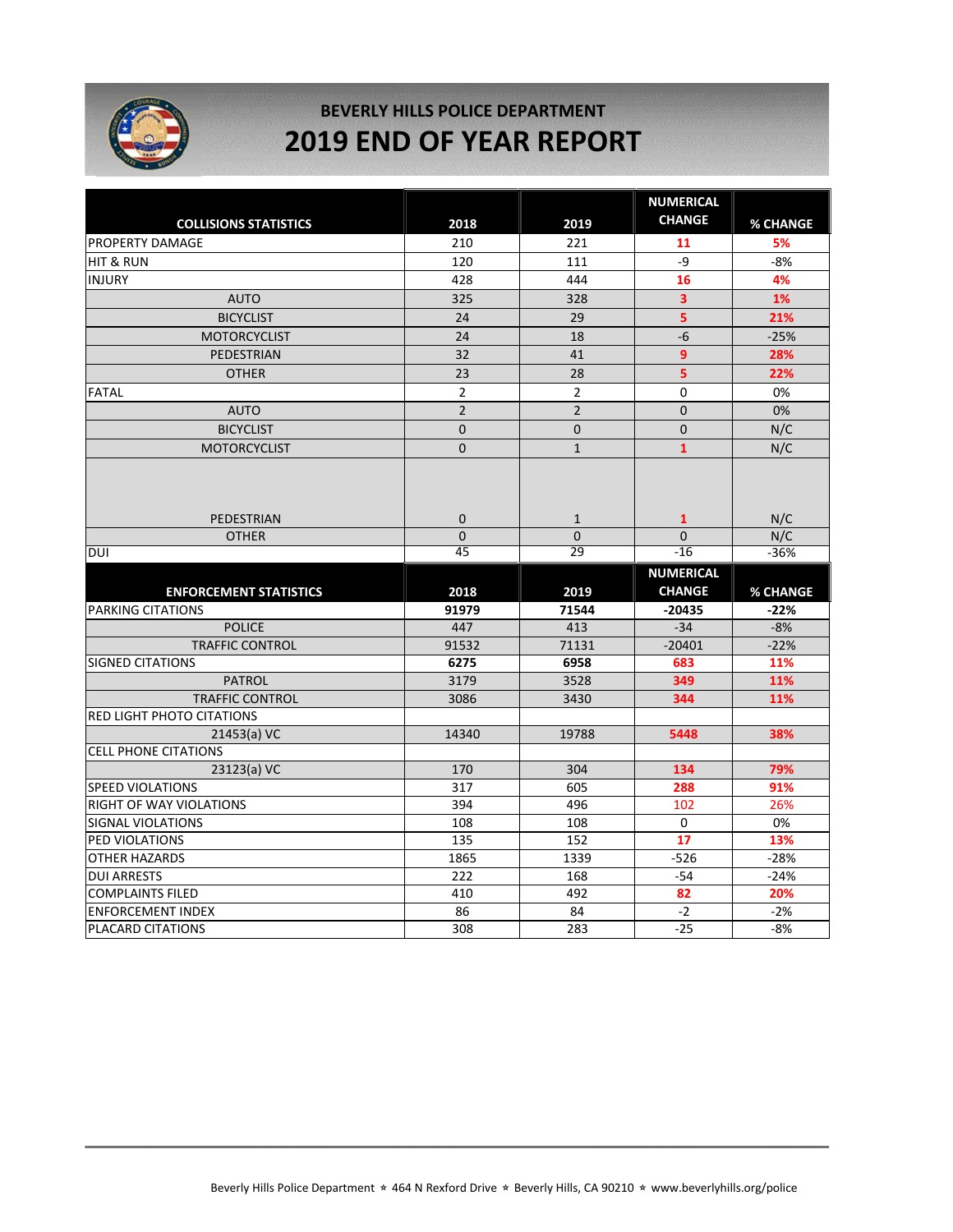

### **BEVERLY HILLS POLICE DEPARTMENT 2019 END OF YEAR REPORT**

|                                          |                                     |                                   | <b>NUMERICAL</b>                      |                      |
|------------------------------------------|-------------------------------------|-----------------------------------|---------------------------------------|----------------------|
| <b>COLLISIONS STATISTICS</b>             | 2018                                | 2019                              | <b>CHANGE</b>                         | % CHANGE             |
| <b>PROPERTY DAMAGE</b>                   | 210                                 | 221                               | 11                                    | 5%                   |
| <b>HIT &amp; RUN</b>                     | 120                                 | 111                               | -9                                    | $-8%$                |
| <b>INJURY</b>                            | 428                                 | 444                               | 16                                    | 4%                   |
| <b>AUTO</b>                              | 325                                 | 328                               | $\overline{\mathbf{3}}$               | 1%                   |
| <b>BICYCLIST</b>                         | 24                                  | 29                                | 5                                     | 21%                  |
| <b>MOTORCYCLIST</b>                      | 24                                  | 18                                | $-6$                                  | $-25%$               |
| <b>PEDESTRIAN</b>                        | 32                                  | 41                                | 9                                     | 28%                  |
| <b>OTHER</b>                             | 23                                  | 28                                | 5                                     | 22%                  |
| <b>FATAL</b>                             | $\overline{2}$                      | $\overline{2}$                    | 0                                     | 0%                   |
| <b>AUTO</b>                              | $\overline{2}$                      | $\overline{2}$                    | $\Omega$                              | 0%                   |
| <b>BICYCLIST</b>                         | $\overline{0}$                      | $\mathbf 0$                       | $\Omega$                              | N/C                  |
| <b>MOTORCYCLIST</b>                      | $\mathbf 0$                         | $\mathbf{1}$                      | $\mathbf{1}$                          | N/C                  |
| PEDESTRIAN<br><b>OTHER</b><br><b>DUI</b> | $\mathbf 0$<br>$\overline{0}$<br>45 | $\mathbf{1}$<br>$\mathbf 0$<br>29 | $\mathbf{1}$<br>$\mathbf{0}$<br>$-16$ | N/C<br>N/C<br>$-36%$ |
|                                          |                                     |                                   |                                       |                      |
|                                          |                                     |                                   | <b>NUMERICAL</b>                      |                      |
| <b>ENFORCEMENT STATISTICS</b>            | 2018                                | 2019                              | <b>CHANGE</b>                         | % CHANGE             |
| <b>PARKING CITATIONS</b>                 | 91979                               | 71544                             | $-20435$                              | $-22%$               |
| <b>POLICE</b>                            | 447                                 | 413                               | $-34$                                 | $-8%$                |
| <b>TRAFFIC CONTROL</b>                   | 91532                               | 71131                             | $-20401$                              | $-22%$               |
| <b>SIGNED CITATIONS</b><br><b>PATROL</b> | 6275<br>3179                        | 6958<br>3528                      | 683<br>349                            | 11%<br>11%           |
| <b>TRAFFIC CONTROL</b>                   | 3086                                | 3430                              | 344                                   | 11%                  |
| <b>RED LIGHT PHOTO CITATIONS</b>         |                                     |                                   |                                       |                      |
| 21453(a) VC                              | 14340                               | 19788                             | 5448                                  | 38%                  |
| <b>CELL PHONE CITATIONS</b>              |                                     |                                   |                                       |                      |
| 23123(a) VC                              | 170                                 | 304                               | 134                                   | 79%                  |
| <b>SPEED VIOLATIONS</b>                  | 317                                 | 605                               | 288                                   | 91%                  |
| RIGHT OF WAY VIOLATIONS                  | 394                                 | 496                               | 102                                   | 26%                  |
| <b>SIGNAL VIOLATIONS</b>                 | 108                                 | 108                               | 0                                     | 0%                   |
| PED VIOLATIONS                           | 135                                 | 152                               | $\overline{17}$                       | 13%                  |
| <b>OTHER HAZARDS</b>                     | 1865                                | 1339                              | $-526$                                | $-28%$               |
| <b>DUI ARRESTS</b>                       | 222                                 | 168                               | $-54$                                 | $-24%$               |
| <b>COMPLAINTS FILED</b>                  | 410                                 | 492                               | 82                                    | 20%                  |
| <b>ENFORCEMENT INDEX</b>                 | 86                                  | 84                                | $-2$                                  | $-2%$                |
| PLACARD CITATIONS                        | 308                                 | 283                               | $-25$                                 | $-8%$                |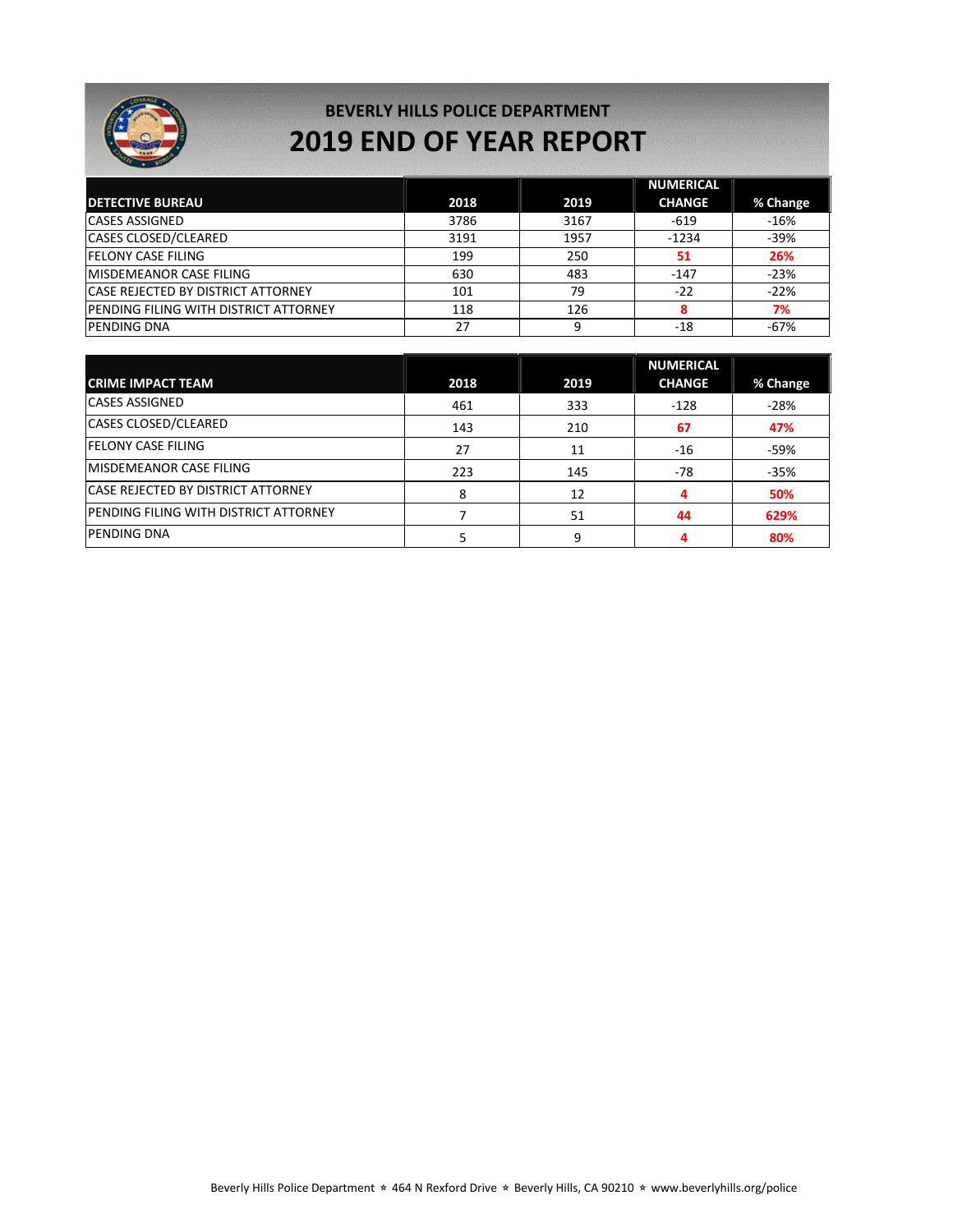

### **BEVERLY HILLS POLICE DEPARTMENT 2019 END OF YEAR REPORT**

|                                               |      |      | <b>NUMERICAL</b> |          |
|-----------------------------------------------|------|------|------------------|----------|
| <b>DETECTIVE BUREAU</b>                       | 2018 | 2019 | <b>CHANGE</b>    | % Change |
| <b>CASES ASSIGNED</b>                         | 3786 | 3167 | $-619$           | $-16%$   |
| <b>CASES CLOSED/CLEARED</b>                   | 3191 | 1957 | $-1234$          | $-39%$   |
| <b>IFELONY CASE FILING</b>                    | 199  | 250  | 51               | 26%      |
| <b>MISDEMEANOR CASE FILING</b>                | 630  | 483  | $-147$           | $-23%$   |
| <b>CASE REJECTED BY DISTRICT ATTORNEY</b>     | 101  | 79   | $-22$            | $-22%$   |
| <b>IPENDING FILING WITH DISTRICT ATTORNEY</b> | 118  | 126  |                  | 7%       |
| <b>PENDING DNA</b>                            | 27   |      | $-18$            | $-67%$   |

|                                               |      |      | <b>NUMERICAL</b> |          |
|-----------------------------------------------|------|------|------------------|----------|
| <b>CRIME IMPACT TEAM</b>                      | 2018 | 2019 | <b>CHANGE</b>    | % Change |
| <b>CASES ASSIGNED</b>                         | 461  | 333  | $-128$           | $-28%$   |
| <b>CASES CLOSED/CLEARED</b>                   | 143  | 210  | 67               | 47%      |
| <b>FELONY CASE FILING</b>                     | 27   | 11   | $-16$            | -59%     |
| IMISDEMEANOR CASE FILING                      | 223  | 145  | $-78$            | $-35%$   |
| <b>CASE REJECTED BY DISTRICT ATTORNEY</b>     | 8    | 12   |                  | 50%      |
| <b>IPENDING FILING WITH DISTRICT ATTORNEY</b> |      | 51   | 44               | 629%     |
| <b>PENDING DNA</b>                            |      | a    |                  | 80%      |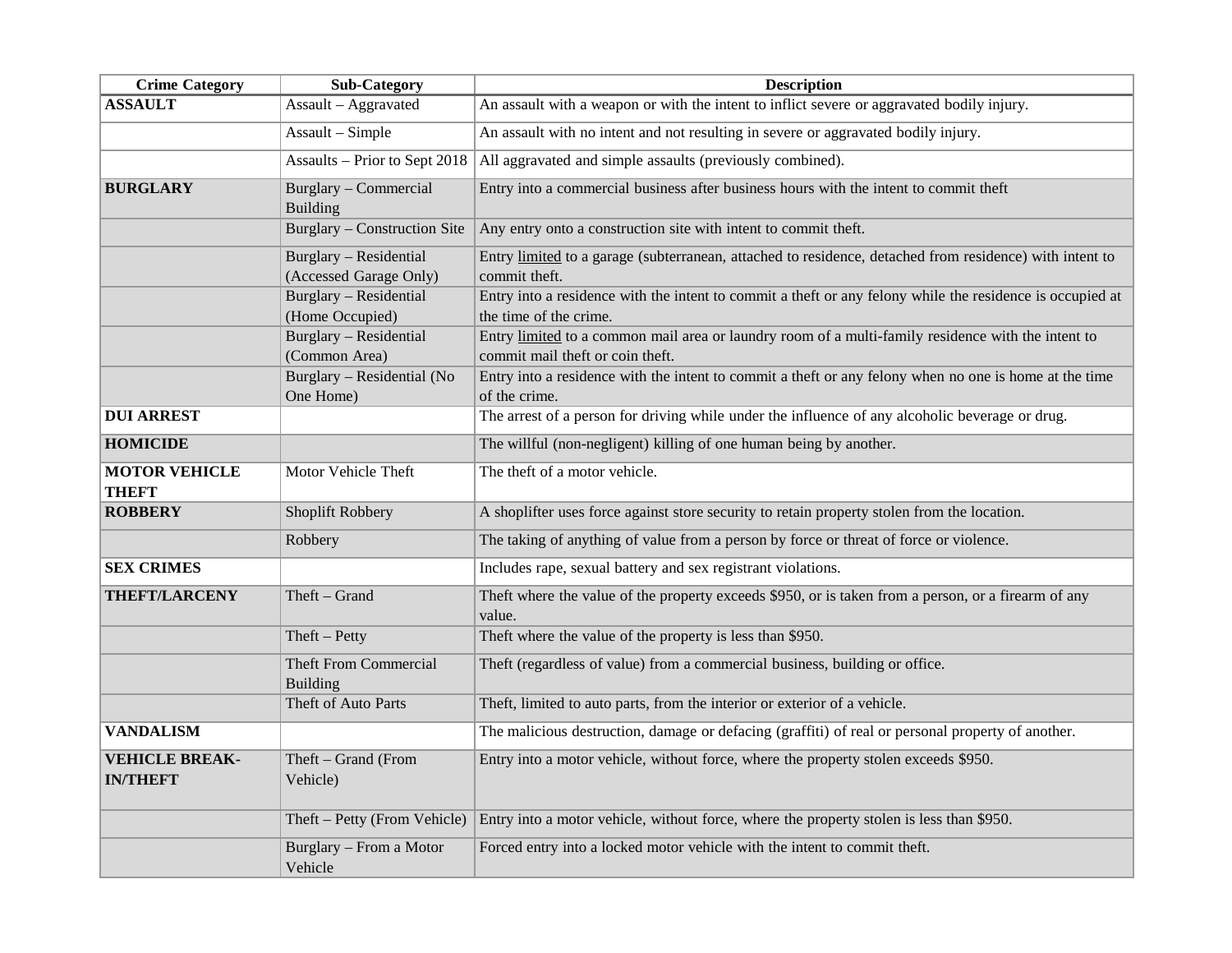| <b>Crime Category</b>                    | <b>Sub-Category</b>                              | <b>Description</b>                                                                                                                     |
|------------------------------------------|--------------------------------------------------|----------------------------------------------------------------------------------------------------------------------------------------|
| <b>ASSAULT</b>                           | Assault - Aggravated                             | An assault with a weapon or with the intent to inflict severe or aggravated bodily injury.                                             |
|                                          | Assault - Simple                                 | An assault with no intent and not resulting in severe or aggravated bodily injury.                                                     |
|                                          | Assaults - Prior to Sept 2018                    | All aggravated and simple assaults (previously combined).                                                                              |
| <b>BURGLARY</b>                          | Burglary - Commercial<br><b>Building</b>         | Entry into a commercial business after business hours with the intent to commit theft                                                  |
|                                          | Burglary – Construction Site                     | Any entry onto a construction site with intent to commit theft.                                                                        |
|                                          | Burglary - Residential<br>(Accessed Garage Only) | Entry limited to a garage (subterranean, attached to residence, detached from residence) with intent to<br>commit theft.               |
|                                          | Burglary - Residential<br>(Home Occupied)        | Entry into a residence with the intent to commit a theft or any felony while the residence is occupied at<br>the time of the crime.    |
|                                          | Burglary - Residential<br>(Common Area)          | Entry limited to a common mail area or laundry room of a multi-family residence with the intent to<br>commit mail theft or coin theft. |
|                                          | Burglary - Residential (No<br>One Home)          | Entry into a residence with the intent to commit a theft or any felony when no one is home at the time<br>of the crime.                |
| <b>DUI ARREST</b>                        |                                                  | The arrest of a person for driving while under the influence of any alcoholic beverage or drug.                                        |
| <b>HOMICIDE</b>                          |                                                  | The willful (non-negligent) killing of one human being by another.                                                                     |
| <b>MOTOR VEHICLE</b><br><b>THEFT</b>     | Motor Vehicle Theft                              | The theft of a motor vehicle.                                                                                                          |
| <b>ROBBERY</b>                           | Shoplift Robbery                                 | A shoplifter uses force against store security to retain property stolen from the location.                                            |
|                                          | Robbery                                          | The taking of anything of value from a person by force or threat of force or violence.                                                 |
| <b>SEX CRIMES</b>                        |                                                  | Includes rape, sexual battery and sex registrant violations.                                                                           |
| <b>THEFT/LARCENY</b>                     | Theft - Grand                                    | Theft where the value of the property exceeds \$950, or is taken from a person, or a firearm of any<br>value.                          |
|                                          | $Theft-Petty$                                    | Theft where the value of the property is less than \$950.                                                                              |
|                                          | <b>Theft From Commercial</b><br><b>Building</b>  | Theft (regardless of value) from a commercial business, building or office.                                                            |
|                                          | Theft of Auto Parts                              | Theft, limited to auto parts, from the interior or exterior of a vehicle.                                                              |
| <b>VANDALISM</b>                         |                                                  | The malicious destruction, damage or defacing (graffiti) of real or personal property of another.                                      |
| <b>VEHICLE BREAK-</b><br><b>IN/THEFT</b> | Theft - Grand (From<br>Vehicle)                  | Entry into a motor vehicle, without force, where the property stolen exceeds \$950.                                                    |
|                                          | Theft – Petty (From Vehicle)                     | Entry into a motor vehicle, without force, where the property stolen is less than \$950.                                               |
|                                          | Burglary - From a Motor<br>Vehicle               | Forced entry into a locked motor vehicle with the intent to commit theft.                                                              |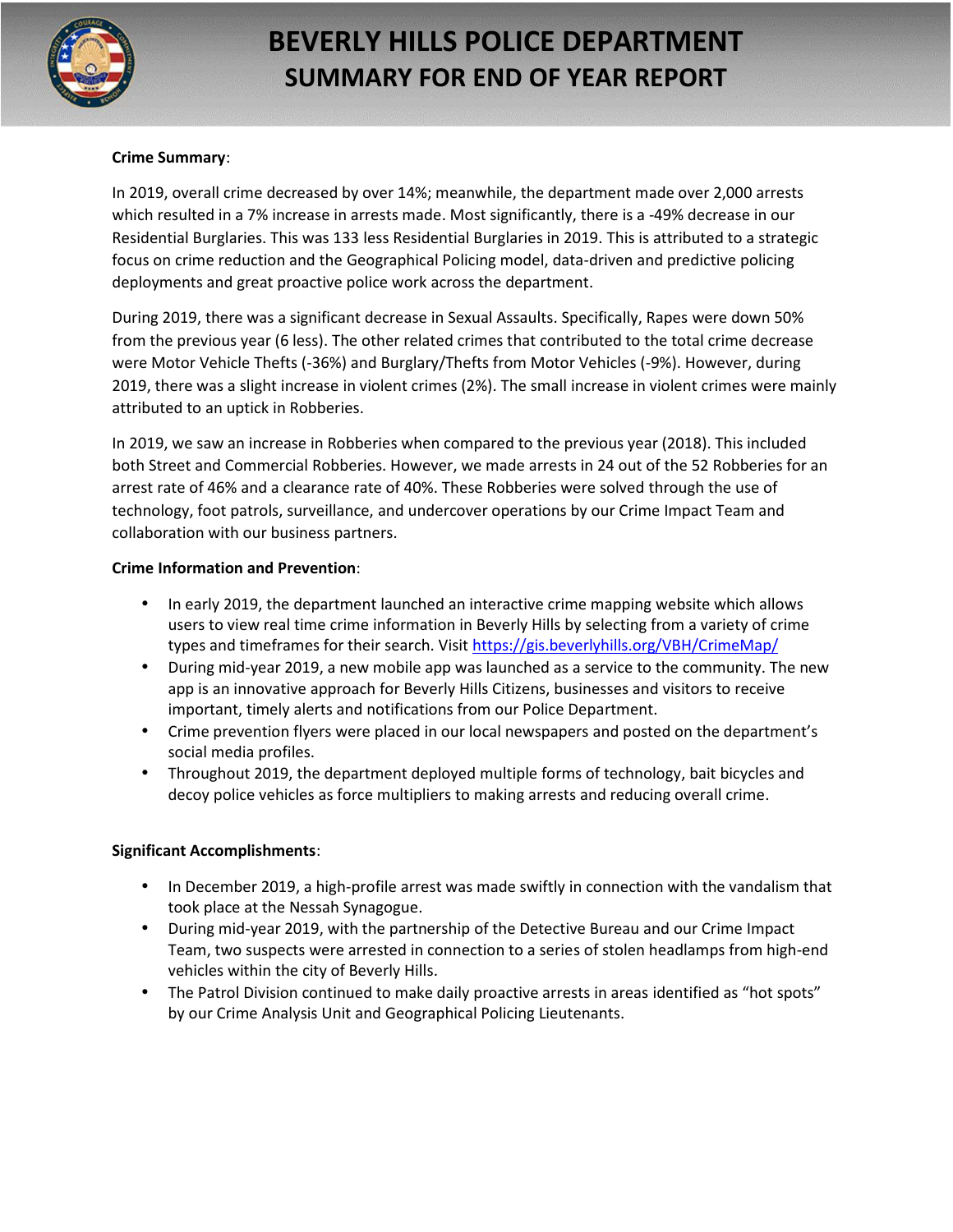

## **BEVERLY HILLS POLICE DEPARTMENT SUMMARY FOR END OF YEAR REPORT**

#### **Crime Summary**:

In 2019, overall crime decreased by over 14%; meanwhile, the department made over 2,000 arrests which resulted in a 7% increase in arrests made. Most significantly, there is a -49% decrease in our Residential Burglaries. This was 133 less Residential Burglaries in 2019. This is attributed to a strategic focus on crime reduction and the Geographical Policing model, data-driven and predictive policing deployments and great proactive police work across the department.

During 2019, there was a significant decrease in Sexual Assaults. Specifically, Rapes were down 50% from the previous year (6 less). The other related crimes that contributed to the total crime decrease were Motor Vehicle Thefts (-36%) and Burglary/Thefts from Motor Vehicles (-9%). However, during 2019, there was a slight increase in violent crimes (2%). The small increase in violent crimes were mainly attributed to an uptick in Robberies.

In 2019, we saw an increase in Robberies when compared to the previous year (2018). This included both Street and Commercial Robberies. However, we made arrests in 24 out of the 52 Robberies for an arrest rate of 46% and a clearance rate of 40%. These Robberies were solved through the use of technology, foot patrols, surveillance, and undercover operations by our Crime Impact Team and collaboration with our business partners.

#### **Crime Information and Prevention**:

- In early 2019, the department launched an interactive crime mapping website which allows users to view real time crime information in Beverly Hills by selecting from a variety of crime types and timeframes for their search. Visit https://gis.beverlyhills.org/VBH/CrimeMap/
- During mid-year 2019, a new mobile app was launched as a service to the community. The new app is an innovative approach for Beverly Hills Citizens, businesses and visitors to receive important, timely alerts and notifications from our Police Department.
- Crime prevention flyers were placed in our local newspapers and posted on the department's social media profiles.
- Throughout 2019, the department deployed multiple forms of technology, bait bicycles and decoy police vehicles as force multipliers to making arrests and reducing overall crime.

#### **Significant Accomplishments**:

- In December 2019, a high-profile arrest was made swiftly in connection with the vandalism that took place at the Nessah Synagogue.
- During mid-year 2019, with the partnership of the Detective Bureau and our Crime Impact Team, two suspects were arrested in connection to a series of stolen headlamps from high-end vehicles within the city of Beverly Hills.
- The Patrol Division continued to make daily proactive arrests in areas identified as "hot spots" by our Crime Analysis Unit and Geographical Policing Lieutenants.